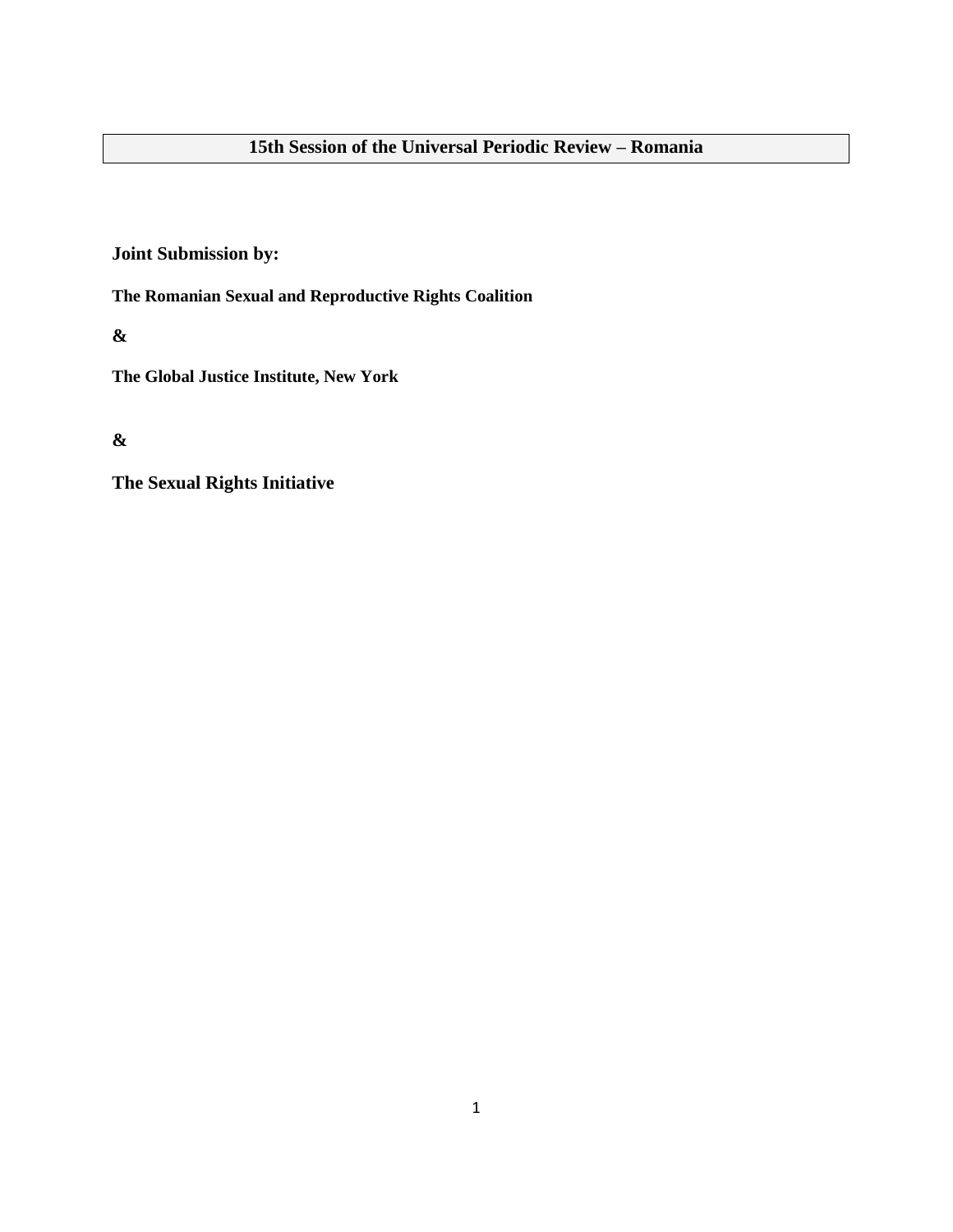# **15th Session of the Universal Periodic Review – Romania**

**Joint Submission by:**

**The Romanian Sexual and Reproductive Rights Coalition**

**&**

**The Global Justice Institute, New York**

**&**

**The Sexual Rights Initiative**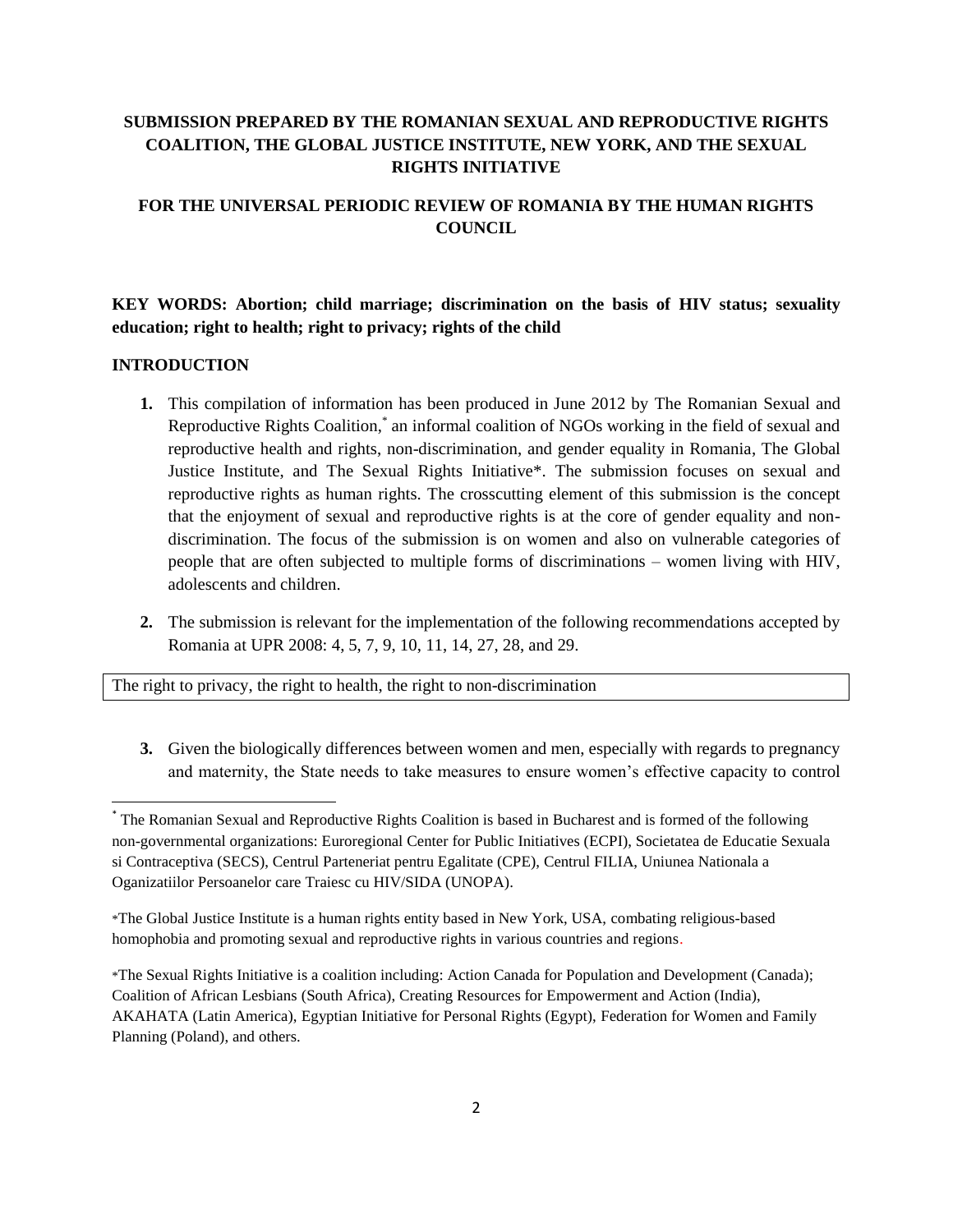# **SUBMISSION PREPARED BY THE ROMANIAN SEXUAL AND REPRODUCTIVE RIGHTS COALITION, THE GLOBAL JUSTICE INSTITUTE, NEW YORK, AND THE SEXUAL RIGHTS INITIATIVE**

# **FOR THE UNIVERSAL PERIODIC REVIEW OF ROMANIA BY THE HUMAN RIGHTS COUNCIL**

**KEY WORDS: Abortion; child marriage; discrimination on the basis of HIV status; sexuality education; right to health; right to privacy; rights of the child**

#### **INTRODUCTION**

l

- **1.** This compilation of information has been produced in June 2012 by The Romanian Sexual and Reproductive Rights Coalition,\* an informal coalition of NGOs working in the field of sexual and reproductive health and rights, non-discrimination, and gender equality in Romania, The Global Justice Institute, and The Sexual Rights Initiative\*. The submission focuses on sexual and reproductive rights as human rights. The crosscutting element of this submission is the concept that the enjoyment of sexual and reproductive rights is at the core of gender equality and nondiscrimination. The focus of the submission is on women and also on vulnerable categories of people that are often subjected to multiple forms of discriminations – women living with HIV, adolescents and children.
- **2.** The submission is relevant for the implementation of the following recommendations accepted by Romania at UPR 2008: 4, 5, 7, 9, 10, 11, 14, 27, 28, and 29.

The right to privacy, the right to health, the right to non-discrimination

**3.** Given the biologically differences between women and men, especially with regards to pregnancy and maternity, the State needs to take measures to ensure women's effective capacity to control

<sup>\*</sup> The Romanian Sexual and Reproductive Rights Coalition is based in Bucharest and is formed of the following non-governmental organizations: Euroregional Center for Public Initiatives (ECPI), Societatea de Educatie Sexuala si Contraceptiva (SECS), Centrul Parteneriat pentru Egalitate (CPE), Centrul FILIA, Uniunea Nationala a Oganizatiilor Persoanelor care Traiesc cu HIV/SIDA (UNOPA).

<sup>\*</sup>The Global Justice Institute is a human rights entity based in New York, USA, combating religious-based homophobia and promoting sexual and reproductive rights in various countries and regions.

<sup>\*</sup>The Sexual Rights Initiative is a coalition including: Action Canada for Population and Development (Canada); Coalition of African Lesbians (South Africa), Creating Resources for Empowerment and Action (India), AKAHATA (Latin America), Egyptian Initiative for Personal Rights (Egypt), Federation for Women and Family Planning (Poland), and others.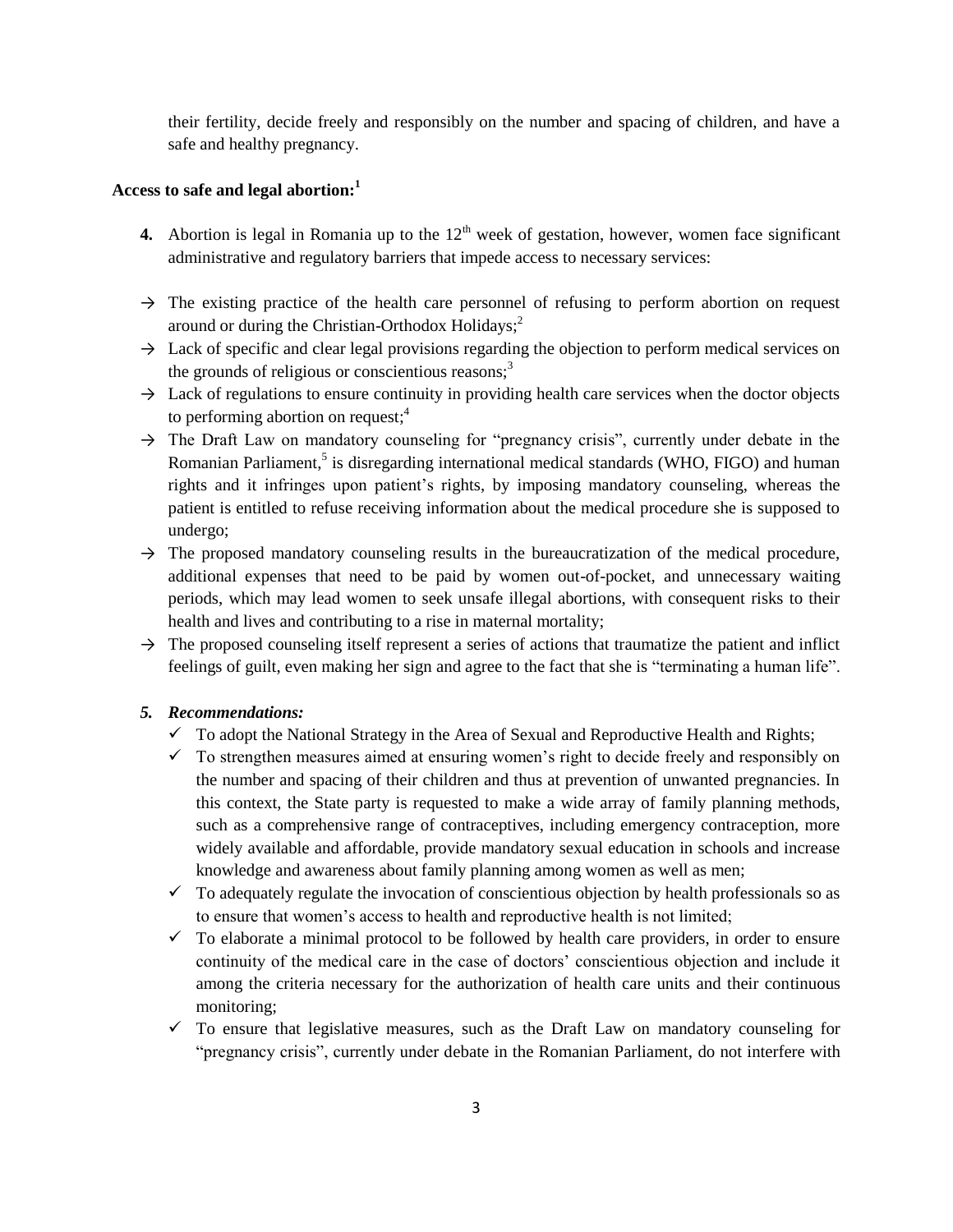their fertility, decide freely and responsibly on the number and spacing of children, and have a safe and healthy pregnancy.

# **Access to safe and legal abortion:<sup>1</sup>**

- **4.** Abortion is legal in Romania up to the  $12<sup>th</sup>$  week of gestation, however, women face significant administrative and regulatory barriers that impede access to necessary services:
- $\rightarrow$  The existing practice of the health care personnel of refusing to perform abortion on request around or during the Christian-Orthodox Holidays; $<sup>2</sup>$ </sup>
- $\rightarrow$  Lack of specific and clear legal provisions regarding the objection to perform medical services on the grounds of religious or conscientious reasons; $3<sup>3</sup>$
- $\rightarrow$  Lack of regulations to ensure continuity in providing health care services when the doctor objects to performing abortion on request; 4
- $\rightarrow$  The Draft Law on mandatory counseling for "pregnancy crisis", currently under debate in the Romanian Parliament,<sup>5</sup> is disregarding international medical standards (WHO, FIGO) and human rights and it infringes upon patient's rights, by imposing mandatory counseling, whereas the patient is entitled to refuse receiving information about the medical procedure she is supposed to undergo;
- $\rightarrow$  The proposed mandatory counseling results in the bureaucratization of the medical procedure, additional expenses that need to be paid by women out-of-pocket, and unnecessary waiting periods, which may lead women to seek unsafe illegal abortions, with consequent risks to their health and lives and contributing to a rise in maternal mortality;
- $\rightarrow$  The proposed counseling itself represent a series of actions that traumatize the patient and inflict feelings of guilt, even making her sign and agree to the fact that she is "terminating a human life".

#### *5. Recommendations:*

- $\checkmark$  To adopt the National Strategy in the Area of Sexual and Reproductive Health and Rights;
- $\checkmark$  To strengthen measures aimed at ensuring women's right to decide freely and responsibly on the number and spacing of their children and thus at prevention of unwanted pregnancies. In this context, the State party is requested to make a wide array of family planning methods, such as a comprehensive range of contraceptives, including emergency contraception, more widely available and affordable, provide mandatory sexual education in schools and increase knowledge and awareness about family planning among women as well as men;
- $\checkmark$  To adequately regulate the invocation of conscientious objection by health professionals so as to ensure that women's access to health and reproductive health is not limited;
- $\checkmark$  To elaborate a minimal protocol to be followed by health care providers, in order to ensure continuity of the medical care in the case of doctors' conscientious objection and include it among the criteria necessary for the authorization of health care units and their continuous monitoring;
- $\checkmark$  To ensure that legislative measures, such as the Draft Law on mandatory counseling for "pregnancy crisis", currently under debate in the Romanian Parliament, do not interfere with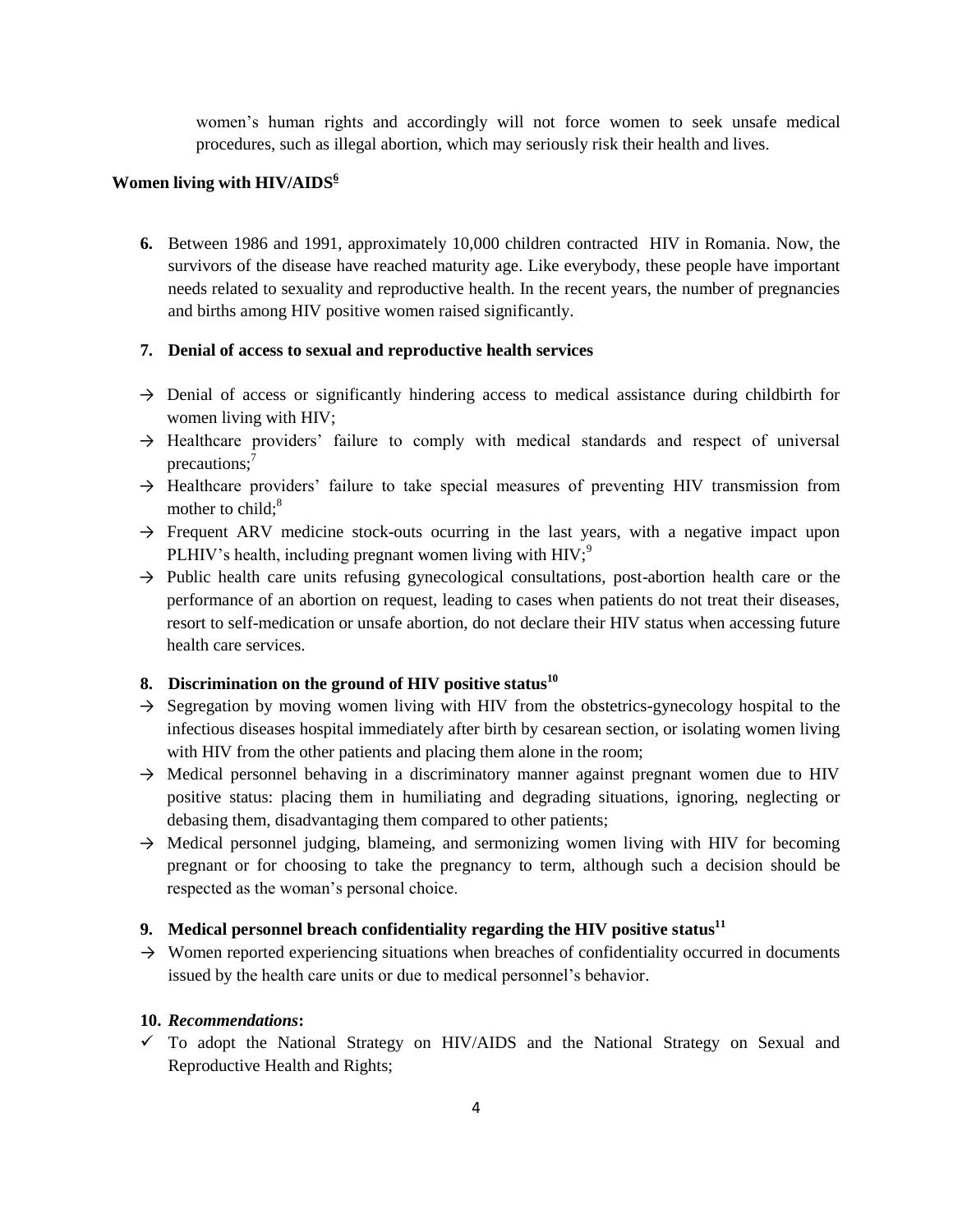women's human rights and accordingly will not force women to seek unsafe medical procedures, such as illegal abortion, which may seriously risk their health and lives.

## **Women living with HIV/AIDS<sup>6</sup>**

**6.** Between 1986 and 1991, approximately 10,000 children contracted HIV in Romania. Now, the survivors of the disease have reached maturity age. Like everybody, these people have important needs related to sexuality and reproductive health. In the recent years, the number of pregnancies and births among HIV positive women raised significantly.

#### **7. Denial of access to sexual and reproductive health services**

- $\rightarrow$  Denial of access or significantly hindering access to medical assistance during childbirth for women living with HIV;
- $\rightarrow$  Healthcare providers' failure to comply with medical standards and respect of universal precautions; $<sup>7</sup>$ </sup>
- $\rightarrow$  Healthcare providers' failure to take special measures of preventing HIV transmission from mother to child: $8<sup>8</sup>$
- $\rightarrow$  Frequent ARV medicine stock-outs ocurring in the last years, with a negative impact upon PLHIV's health, including pregnant women living with  $HIV$ ;<sup>9</sup>
- $\rightarrow$  Public health care units refusing gynecological consultations, post-abortion health care or the performance of an abortion on request, leading to cases when patients do not treat their diseases, resort to self-medication or unsafe abortion, do not declare their HIV status when accessing future health care services.

## **8. Discrimination on the ground of HIV positive status<sup>10</sup>**

- $\rightarrow$  Segregation by moving women living with HIV from the obstetrics-gynecology hospital to the infectious diseases hospital immediately after birth by cesarean section, or isolating women living with HIV from the other patients and placing them alone in the room;
- $\rightarrow$  Medical personnel behaving in a discriminatory manner against pregnant women due to HIV positive status: placing them in humiliating and degrading situations, ignoring, neglecting or debasing them, disadvantaging them compared to other patients;
- → Medical personnel judging, blameing, and sermonizing women living with HIV for becoming pregnant or for choosing to take the pregnancy to term, although such a decision should be respected as the woman's personal choice.

#### **9. Medical personnel breach confidentiality regarding the HIV positive status<sup>11</sup>**

 $\rightarrow$  Women reported experiencing situations when breaches of confidentiality occurred in documents issued by the health care units or due to medical personnel's behavior.

#### **10.** *Recommendations***:**

 $\checkmark$  To adopt the National Strategy on HIV/AIDS and the National Strategy on Sexual and Reproductive Health and Rights;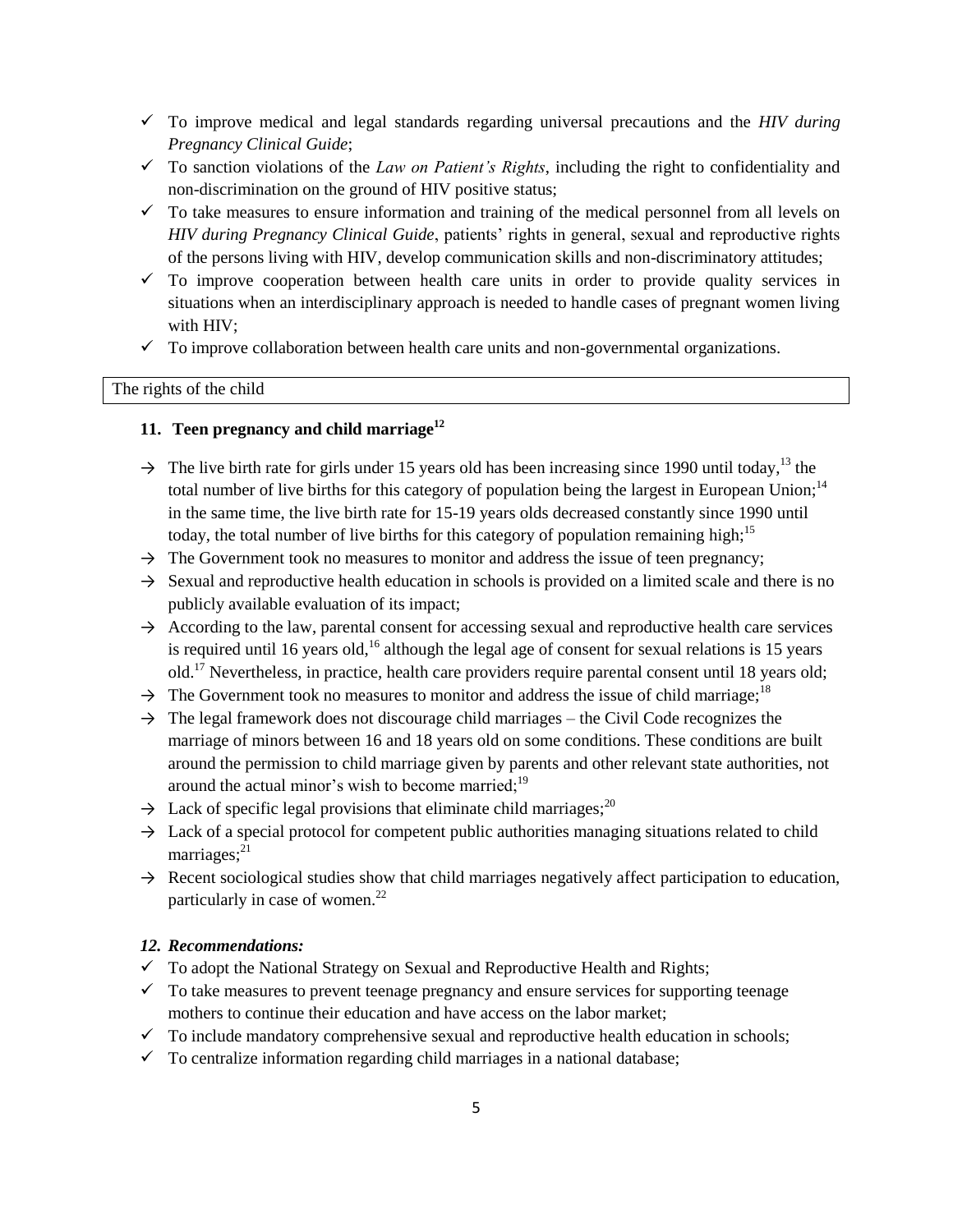- To improve medical and legal standards regarding universal precautions and the *HIV during Pregnancy Clinical Guide*;
- $\checkmark$  To sanction violations of the *Law on Patient's Rights*, including the right to confidentiality and non-discrimination on the ground of HIV positive status;
- $\checkmark$  To take measures to ensure information and training of the medical personnel from all levels on *HIV during Pregnancy Clinical Guide*, patients' rights in general, sexual and reproductive rights of the persons living with HIV, develop communication skills and non-discriminatory attitudes;
- $\checkmark$  To improve cooperation between health care units in order to provide quality services in situations when an interdisciplinary approach is needed to handle cases of pregnant women living with HIV;
- $\checkmark$  To improve collaboration between health care units and non-governmental organizations.

# The rights of the child

### **11. Teen pregnancy and child marriage<sup>12</sup>**

- $\rightarrow$  The live birth rate for girls under 15 years old has been increasing since 1990 until today,<sup>13</sup> the total number of live births for this category of population being the largest in European Union;<sup>14</sup> in the same time, the live birth rate for 15-19 years olds decreased constantly since 1990 until today, the total number of live births for this category of population remaining high;<sup>15</sup>
- $\rightarrow$  The Government took no measures to monitor and address the issue of teen pregnancy;
- $\rightarrow$  Sexual and reproductive health education in schools is provided on a limited scale and there is no publicly available evaluation of its impact;
- $\rightarrow$  According to the law, parental consent for accessing sexual and reproductive health care services is required until 16 years old,<sup>16</sup> although the legal age of consent for sexual relations is 15 years old.<sup>17</sup> Nevertheless, in practice, health care providers require parental consent until 18 years old;
- $\rightarrow$  The Government took no measures to monitor and address the issue of child marriage;<sup>18</sup>
- $\rightarrow$  The legal framework does not discourage child marriages the Civil Code recognizes the marriage of minors between 16 and 18 years old on some conditions. These conditions are built around the permission to child marriage given by parents and other relevant state authorities, not around the actual minor's wish to become married;<sup>19</sup>
- $\rightarrow$  Lack of specific legal provisions that eliminate child marriages;<sup>20</sup>
- $\rightarrow$  Lack of a special protocol for competent public authorities managing situations related to child marriages; $^{21}$
- $\rightarrow$  Recent sociological studies show that child marriages negatively affect participation to education, particularly in case of women.<sup>22</sup>

### *12. Recommendations:*

- $\checkmark$  To adopt the National Strategy on Sexual and Reproductive Health and Rights;
- $\checkmark$  To take measures to prevent teenage pregnancy and ensure services for supporting teenage mothers to continue their education and have access on the labor market;
- $\checkmark$  To include mandatory comprehensive sexual and reproductive health education in schools;
- $\checkmark$  To centralize information regarding child marriages in a national database;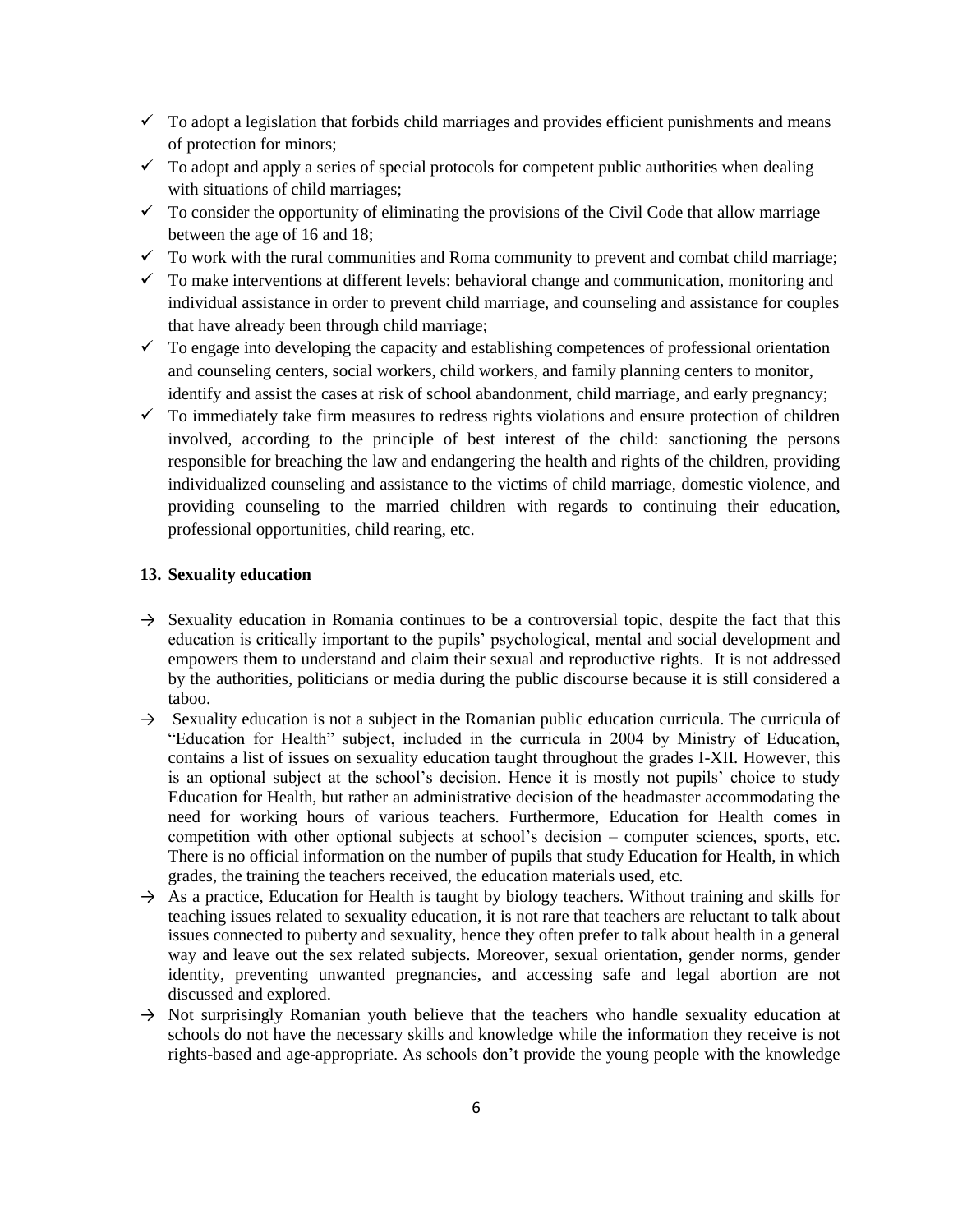- $\checkmark$  To adopt a legislation that forbids child marriages and provides efficient punishments and means of protection for minors;
- $\checkmark$  To adopt and apply a series of special protocols for competent public authorities when dealing with situations of child marriages;
- $\checkmark$  To consider the opportunity of eliminating the provisions of the Civil Code that allow marriage between the age of 16 and 18;
- $\checkmark$  To work with the rural communities and Roma community to prevent and combat child marriage;
- $\checkmark$  To make interventions at different levels: behavioral change and communication, monitoring and individual assistance in order to prevent child marriage, and counseling and assistance for couples that have already been through child marriage;
- $\checkmark$  To engage into developing the capacity and establishing competences of professional orientation and counseling centers, social workers, child workers, and family planning centers to monitor, identify and assist the cases at risk of school abandonment, child marriage, and early pregnancy;
- $\checkmark$  To immediately take firm measures to redress rights violations and ensure protection of children involved, according to the principle of best interest of the child: sanctioning the persons responsible for breaching the law and endangering the health and rights of the children, providing individualized counseling and assistance to the victims of child marriage, domestic violence, and providing counseling to the married children with regards to continuing their education, professional opportunities, child rearing, etc.

#### **13. Sexuality education**

- $\rightarrow$  Sexuality education in Romania continues to be a controversial topic, despite the fact that this education is critically important to the pupils' psychological, mental and social development and empowers them to understand and claim their sexual and reproductive rights. It is not addressed by the authorities, politicians or media during the public discourse because it is still considered a taboo.
- $\rightarrow$  Sexuality education is not a subject in the Romanian public education curricula. The curricula of "Education for Health" subject, included in the curricula in 2004 by Ministry of Education, contains a list of issues on sexuality education taught throughout the grades I-XII. However, this is an optional subject at the school's decision. Hence it is mostly not pupils' choice to study Education for Health, but rather an administrative decision of the headmaster accommodating the need for working hours of various teachers. Furthermore, Education for Health comes in competition with other optional subjects at school's decision – computer sciences, sports, etc. There is no official information on the number of pupils that study Education for Health, in which grades, the training the teachers received, the education materials used, etc.
- $\rightarrow$  As a practice, Education for Health is taught by biology teachers. Without training and skills for teaching issues related to sexuality education, it is not rare that teachers are reluctant to talk about issues connected to puberty and sexuality, hence they often prefer to talk about health in a general way and leave out the sex related subjects. Moreover, sexual orientation, gender norms, gender identity, preventing unwanted pregnancies, and accessing safe and legal abortion are not discussed and explored.
- $\rightarrow$  Not surprisingly Romanian youth believe that the teachers who handle sexuality education at schools do not have the necessary skills and knowledge while the information they receive is not rights-based and age-appropriate. As schools don't provide the young people with the knowledge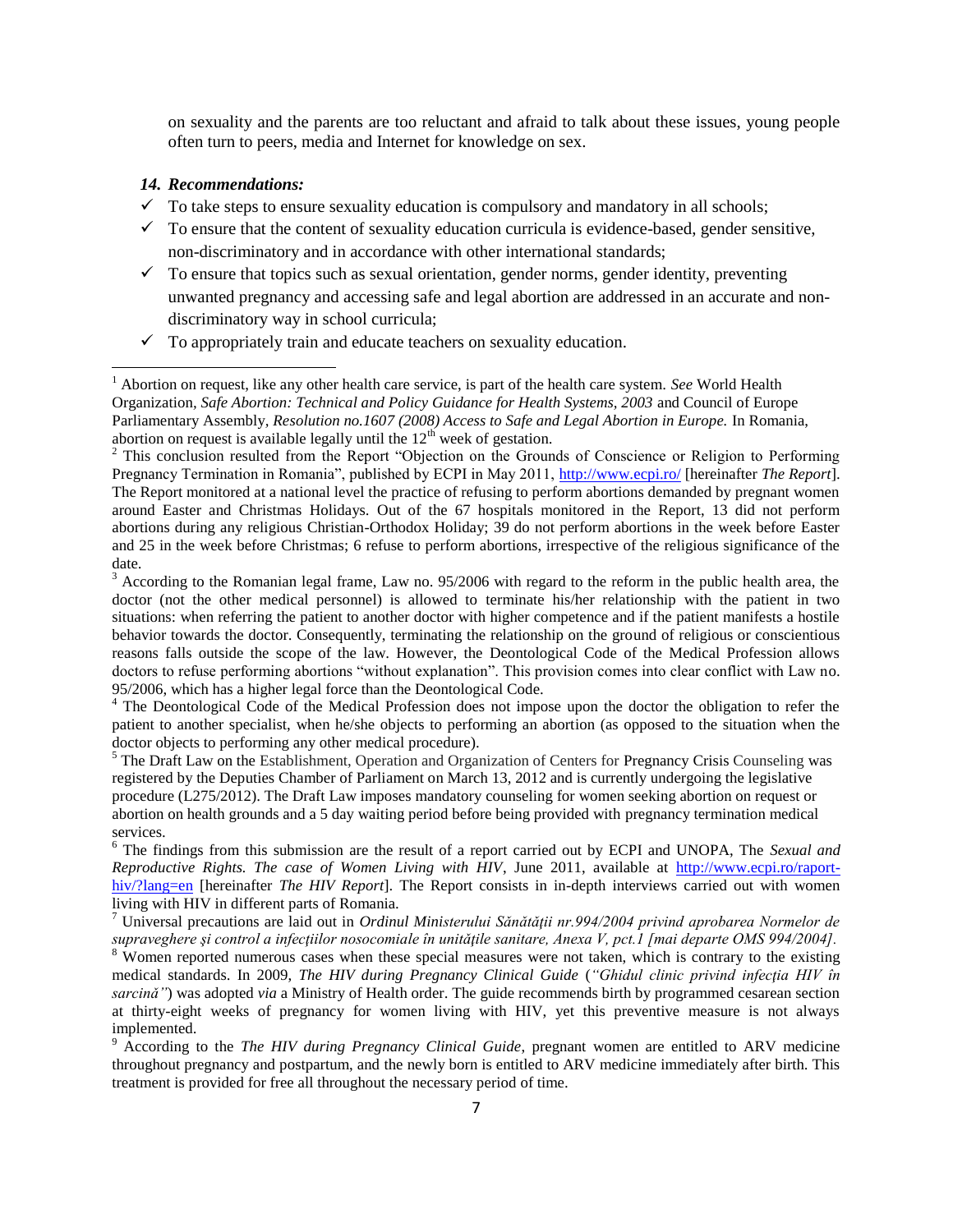on sexuality and the parents are too reluctant and afraid to talk about these issues, young people often turn to peers, media and Internet for knowledge on sex.

#### *14. Recommendations:*

 $\overline{\phantom{a}}$ 

- $\checkmark$  To take steps to ensure sexuality education is compulsory and mandatory in all schools;
- $\checkmark$  To ensure that the content of sexuality education curricula is evidence-based, gender sensitive, non-discriminatory and in accordance with other international standards;
- $\checkmark$  To ensure that topics such as sexual orientation, gender norms, gender identity, preventing unwanted pregnancy and accessing safe and legal abortion are addressed in an accurate and nondiscriminatory way in school curricula;
- $\checkmark$  To appropriately train and educate teachers on sexuality education.

<sup>4</sup> The Deontological Code of the Medical Profession does not impose upon the doctor the obligation to refer the patient to another specialist, when he/she objects to performing an abortion (as opposed to the situation when the doctor objects to performing any other medical procedure).

<sup>5</sup> The Draft Law on the Establishment, Operation and Organization of Centers for Pregnancy Crisis Counseling was registered by the Deputies Chamber of Parliament on March 13, 2012 and is currently undergoing the legislative procedure (L275/2012). The Draft Law imposes mandatory counseling for women seeking abortion on request or abortion on health grounds and a 5 day waiting period before being provided with pregnancy termination medical services.

<sup>6</sup> The findings from this submission are the result of a report carried out by ECPI and UNOPA, The *Sexual and Reproductive Rights. The case of Women Living with HIV*, June 2011, available at [http://www.ecpi.ro/raport](http://www.ecpi.ro/raport-hiv/?lang=en)[hiv/?lang=en](http://www.ecpi.ro/raport-hiv/?lang=en) [hereinafter *The HIV Report*]. The Report consists in in-depth interviews carried out with women living with HIV in different parts of Romania.

<sup>7</sup> Universal precautions are laid out in *Ordinul Ministerului Sǎnǎtǎţii nr.994/2004 privind aprobarea Normelor de supraveghere şi control a infecţiilor nosocomiale în unitǎţile sanitare, Anexa V, pct.1 [mai departe OMS 994/2004].*

<sup>8</sup> Women reported numerous cases when these special measures were not taken, which is contrary to the existing medical standards. In 2009, *The HIV during Pregnancy Clinical Guide* (*"Ghidul clinic privind infecţia HIV în sarcinǎ"*) was adopted *via* a Ministry of Health order. The guide recommends birth by programmed cesarean section at thirty-eight weeks of pregnancy for women living with HIV, yet this preventive measure is not always implemented.

<sup>9</sup> According to the *The HIV during Pregnancy Clinical Guide*, pregnant women are entitled to ARV medicine throughout pregnancy and postpartum, and the newly born is entitled to ARV medicine immediately after birth. This treatment is provided for free all throughout the necessary period of time.

<sup>1</sup> Abortion on request, like any other health care service, is part of the health care system. *See* World Health Organization*, Safe Abortion: Technical and Policy Guidance for Health Systems, 2003* and Council of Europe Parliamentary Assembly*, Resolution no.1607 (2008) Access to Safe and Legal Abortion in Europe.* In Romania, abortion on request is available legally until the  $12<sup>th</sup>$  week of gestation.

<sup>&</sup>lt;sup>2</sup> This conclusion resulted from the Report "Objection on the Grounds of Conscience or Religion to Performing Pregnancy Termination in Romania", published by ECPI in May 2011,<http://www.ecpi.ro/> [hereinafter *The Report*]. The Report monitored at a national level the practice of refusing to perform abortions demanded by pregnant women around Easter and Christmas Holidays. Out of the 67 hospitals monitored in the Report, 13 did not perform abortions during any religious Christian-Orthodox Holiday; 39 do not perform abortions in the week before Easter and 25 in the week before Christmas; 6 refuse to perform abortions, irrespective of the religious significance of the date.

 $3$  According to the Romanian legal frame, Law no. 95/2006 with regard to the reform in the public health area, the doctor (not the other medical personnel) is allowed to terminate his/her relationship with the patient in two situations: when referring the patient to another doctor with higher competence and if the patient manifests a hostile behavior towards the doctor. Consequently, terminating the relationship on the ground of religious or conscientious reasons falls outside the scope of the law. However, the Deontological Code of the Medical Profession allows doctors to refuse performing abortions "without explanation". This provision comes into clear conflict with Law no. 95/2006, which has a higher legal force than the Deontological Code.